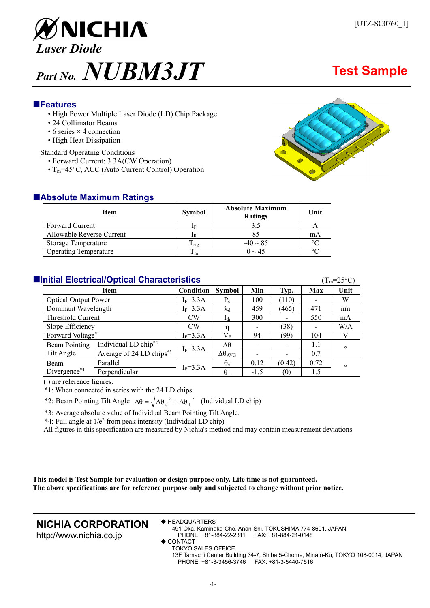

## **Features**

- High Power Multiple Laser Diode (LD) Chip Package
- 24 Collimator Beams
- $\bullet$  6 series  $\times$  4 connection
- High Heat Dissipation

#### Standard Operating Conditions

- Forward Current: 3.3A(CW Operation)
- $T_m$ =45°C, ACC (Auto Current Control) Operation



| <b>Item</b>                  | <b>Symbol</b> | <b>Absolute Maximum</b><br><b>Ratings</b> | Unit           |
|------------------------------|---------------|-------------------------------------------|----------------|
| <b>Forward Current</b>       |               |                                           |                |
| Allowable Reverse Current    |               |                                           | mA             |
| <b>Storage Temperature</b>   | 1 stg         | $-40 \sim 85$                             | $\circ$ $\cap$ |
| <b>Operating Temperature</b> | m             | $0 \sim 45$                               | $\circ$ $\cap$ |

## **Initial Electrical/Optical Characteristics**  $(T_m=25^\circ\text{C})$

| $\sim$ 111 $\sim$ $\sim$ $\sim$ 1 |                                      |              |                        |                          |                          |                          |         |
|-----------------------------------|--------------------------------------|--------------|------------------------|--------------------------|--------------------------|--------------------------|---------|
| Item                              |                                      | Condition    | <b>Symbol</b>          | Min                      | Typ.                     | Max                      | Unit    |
| <b>Optical Output Power</b>       |                                      | $I_F = 3.3A$ | $P_{o}$                | 100                      | (110)                    |                          | W       |
| Dominant Wavelength               |                                      | $I_F = 3.3A$ | $\lambda_{\rm d}$      | 459                      | (465)                    | 471                      | nm      |
| Threshold Current                 |                                      | <b>CW</b>    | $I_{th}$               | 300                      |                          | 550                      | mA      |
| Slope Efficiency                  |                                      | CW           |                        | $\overline{\phantom{a}}$ | (38)                     | $\overline{\phantom{a}}$ | W/A     |
| Forward Voltage*1                 |                                      | $I_F = 3.3A$ | $\rm V_F$              | 94                       | (99)                     | 104                      |         |
| <b>Beam Pointing</b>              | Individual LD chip <sup>*2</sup>     | $I_F = 3.3A$ | Δθ                     | $\overline{\phantom{a}}$ | $\overline{\phantom{a}}$ | 1.1                      | $\circ$ |
| Tilt Angle                        | Average of 24 LD chips <sup>*3</sup> |              | $\Delta\theta_{AVG}$   | $\overline{\phantom{a}}$ | -                        | 0.7                      |         |
| <b>Beam</b>                       | Parallel                             |              | $\theta$ <sub>//</sub> | 0.12                     | (0.42)                   | 0.72                     | $\circ$ |
| Divergence*4                      | Perpendicular                        | $I_F = 3.3A$ | $\theta_{\perp}$       | $-1.5$                   | (0)                      | 1.5                      |         |

( ) are reference figures.

\*1: When connected in series with the 24 LD chips.

\*2: Beam Pointing Tilt Angle  $\Delta\theta = \sqrt{\Delta\theta_{\parallel}^2 + \Delta\theta_{\perp}^2}$  (Individual LD chip)

\*3: Average absolute value of Individual Beam Pointing Tilt Angle.

 $*4$ : Full angle at  $1/e^2$  from peak intensity (Individual LD chip)

All figures in this specification are measured by Nichia's method and may contain measurement deviations.

**This model is Test Sample for evaluation or design purpose only. Life time is not guaranteed. The above specifications are for reference purpose only and subjected to change without prior notice.** 

## **NICHIA CORPORATION**

http://www.nichia.co.jp

◆ HEADQUARTERS

491 Oka, Kaminaka-Cho, Anan-Shi, TOKUSHIMA 774-8601, JAPAN PHONE: +81-884-22-2311 FAX: +81-884-21-0148

◆ CONTACT TOKYO SALES OFFICE

13F Tamachi Center Building 34-7, Shiba 5-Chome, Minato-Ku, TOKYO 108-0014, JAPAN PHONE: +81-3-3456-3746 FAX: +81-3-5440-7516

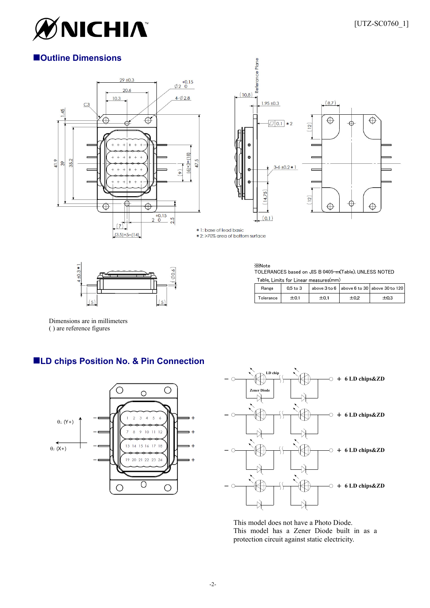

# **Outline Dimensions**





\* 1: base of lead basic

\* 2: >70% area of bottom surface



**XNote** TOLERANCES based on JIS B 0405-m(Table), UNLESS NOTED Table, Limits for Linear measures(mm)

| Range     | $0.5$ to $3$ |      |      | above $3 \text{ to } 6$ above $6 \text{ to } 30$ above $30 \text{ to } 120$ |
|-----------|--------------|------|------|-----------------------------------------------------------------------------|
| Tolerance | ±0.1         | ±0.1 | ±0.2 | ±0.3                                                                        |

Dimensions are in millimeters ( ) are reference figures

# **LD chips Position No. & Pin Connection**





This model does not have a Photo Diode. This model has a Zener Diode built in as a protection circuit against static electricity.